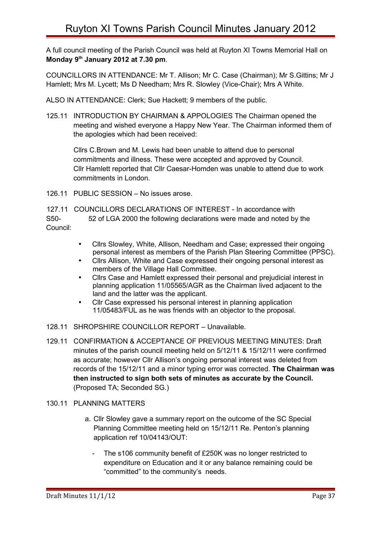A full council meeting of the Parish Council was held at Ruyton XI Towns Memorial Hall on **Monday 9th January 2012 at 7.30 pm**.

COUNCILLORS IN ATTENDANCE: Mr T. Allison; Mr C. Case (Chairman); Mr S.Gittins; Mr J Hamlett; Mrs M. Lycett; Ms D Needham; Mrs R. Slowley (Vice-Chair); Mrs A White.

ALSO IN ATTENDANCE: Clerk; Sue Hackett; 9 members of the public.

125.11 INTRODUCTION BY CHAIRMAN & APPOLOGIES The Chairman opened the meeting and wished everyone a Happy New Year. The Chairman informed them of the apologies which had been received:

Cllrs C.Brown and M. Lewis had been unable to attend due to personal commitments and illness. These were accepted and approved by Council. Cllr Hamlett reported that Cllr Caesar-Homden was unable to attend due to work commitments in London.

126.11 PUBLIC SESSION – No issues arose.

127.11 COUNCILLORS DECLARATIONS OF INTEREST - In accordance with S50- 52 of LGA 2000 the following declarations were made and noted by the Council:

- Cllrs Slowley, White, Allison, Needham and Case; expressed their ongoing personal interest as members of the Parish Plan Steering Committee (PPSC).
- Cllrs Allison, White and Case expressed their ongoing personal interest as members of the Village Hall Committee.
- Cllrs Case and Hamlett expressed their personal and prejudicial interest in planning application 11/05565/AGR as the Chairman lived adjacent to the land and the latter was the applicant.
- Cllr Case expressed his personal interest in planning application 11/05483/FUL as he was friends with an objector to the proposal.
- 128.11 SHROPSHIRE COUNCILLOR REPORT Unavailable.
- 129.11 CONFIRMATION & ACCEPTANCE OF PREVIOUS MEETING MINUTES: Draft minutes of the parish council meeting held on 5/12/11 & 15/12/11 were confirmed as accurate; however Cllr Allison's ongoing personal interest was deleted from records of the 15/12/11 and a minor typing error was corrected. **The Chairman was then instructed to sign both sets of minutes as accurate by the Council.** (Proposed TA; Seconded SG.)

## 130.11 PLANNING MATTERS

- a. Cllr Slowley gave a summary report on the outcome of the SC Special Planning Committee meeting held on 15/12/11 Re. Penton's planning application ref 10/04143/OUT:
	- The s106 community benefit of £250K was no longer restricted to expenditure on Education and it or any balance remaining could be "committed" to the community's needs.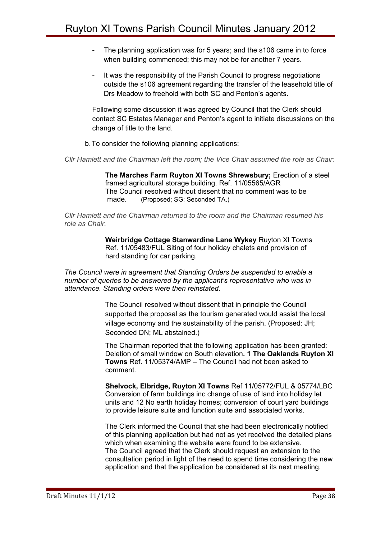- The planning application was for 5 years; and the s106 came in to force when building commenced; this may not be for another 7 years.
- It was the responsibility of the Parish Council to progress negotiations outside the s106 agreement regarding the transfer of the leasehold title of Drs Meadow to freehold with both SC and Penton's agents.

Following some discussion it was agreed by Council that the Clerk should contact SC Estates Manager and Penton's agent to initiate discussions on the change of title to the land.

b.To consider the following planning applications:

*Cllr Hamlett and the Chairman left the room; the Vice Chair assumed the role as Chair:*

 **The Marches Farm Ruyton XI Towns Shrewsbury;** Erection of a steel framed agricultural storage building. Ref. 11/05565/AGR The Council resolved without dissent that no comment was to be made. (Proposed; SG; Seconded TA.)

*Cllr Hamlett and the Chairman returned to the room and the Chairman resumed his role as Chair.*

> **Weirbridge Cottage Stanwardine Lane Wykey** Ruyton XI Towns Ref. 11/05483/FUL Siting of four holiday chalets and provision of hard standing for car parking.

*The Council were in agreement that Standing Orders be suspended to enable a number of queries to be answered by the applicant's representative who was in attendance. Standing orders were then reinstated.*

> The Council resolved without dissent that in principle the Council supported the proposal as the tourism generated would assist the local village economy and the sustainability of the parish. (Proposed: JH; Seconded DN; ML abstained.)

 The Chairman reported that the following application has been granted: Deletion of small window on South elevation**. 1 The Oaklands Ruyton XI Towns** Ref. 11/05374/AMP – The Council had not been asked to comment.

**Shelvock, Elbridge, Ruyton XI Towns** Ref 11/05772/FUL & 05774/LBC Conversion of farm buildings inc change of use of land into holiday let units and 12 No earth holiday homes; conversion of court yard buildings to provide leisure suite and function suite and associated works.

The Clerk informed the Council that she had been electronically notified of this planning application but had not as yet received the detailed plans which when examining the website were found to be extensive. The Council agreed that the Clerk should request an extension to the consultation period in light of the need to spend time considering the new application and that the application be considered at its next meeting.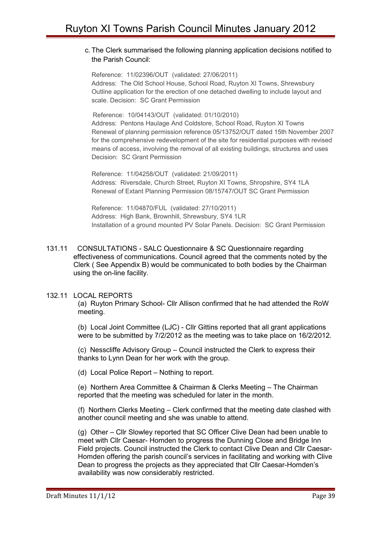## c. The Clerk summarised the following planning application decisions notified to the Parish Council:

Reference: 11/02396/OUT (validated: 27/06/2011) Address: The Old School House, School Road, Ruyton XI Towns, Shrewsbury Outline application for the erection of one detached dwelling to include layout and scale. Decision: SC Grant Permission

Reference: 10/04143/OUT (validated: 01/10/2010) Address: Pentons Haulage And Coldstore, School Road, Ruyton XI Towns Renewal of planning permission reference 05/13752/OUT dated 15th November 2007 for the comprehensive redevelopment of the site for residential purposes with revised means of access, involving the removal of all existing buildings, structures and uses Decision: SC Grant Permission

Reference: 11/04258/OUT (validated: 21/09/2011) Address: Riversdale, Church Street, Ruyton XI Towns, Shropshire, SY4 1LA Renewal of Extant Planning Permission 08/15747/OUT SC Grant Permission

Reference: 11/04870/FUL (validated: 27/10/2011) Address: High Bank, Brownhill, Shrewsbury, SY4 1LR Installation of a ground mounted PV Solar Panels. Decision: SC Grant Permission

131.11 CONSULTATIONS - SALC Questionnaire & SC Questionnaire regarding effectiveness of communications. Council agreed that the comments noted by the Clerk ( See Appendix B) would be communicated to both bodies by the Chairman using the on-line facility.

## 132.11 LOCAL REPORTS

(a) Ruyton Primary School- Cllr Allison confirmed that he had attended the RoW meeting.

(b) Local Joint Committee (LJC) - Cllr Gittins reported that all grant applications were to be submitted by 7/2/2012 as the meeting was to take place on 16/2/2012.

(c) Nesscliffe Advisory Group – Council instructed the Clerk to express their thanks to Lynn Dean for her work with the group.

(d) Local Police Report – Nothing to report.

(e) Northern Area Committee & Chairman & Clerks Meeting – The Chairman reported that the meeting was scheduled for later in the month.

(f) Northern Clerks Meeting – Clerk confirmed that the meeting date clashed with another council meeting and she was unable to attend.

(g) Other – Cllr Slowley reported that SC Officer Clive Dean had been unable to meet with Cllr Caesar- Homden to progress the Dunning Close and Bridge Inn Field projects. Council instructed the Clerk to contact Clive Dean and Cllr Caesar-Homden offering the parish council's services in facilitating and working with Clive Dean to progress the projects as they appreciated that Cllr Caesar-Homden's availability was now considerably restricted.